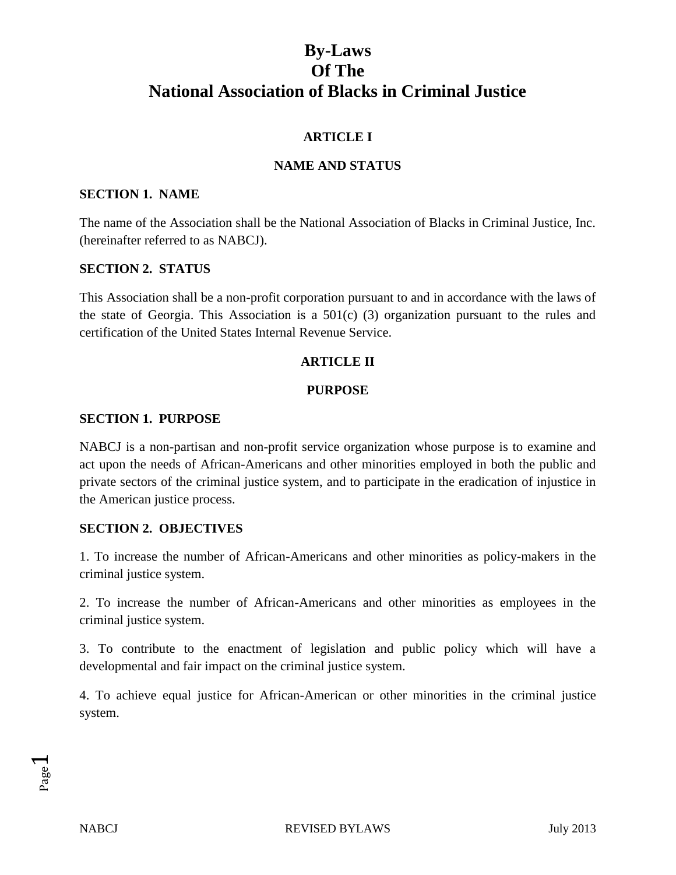# **ARTICLE I**

# **NAME AND STATUS**

### **SECTION 1. NAME**

The name of the Association shall be the National Association of Blacks in Criminal Justice, Inc. (hereinafter referred to as NABCJ).

### **SECTION 2. STATUS**

This Association shall be a non-profit corporation pursuant to and in accordance with the laws of the state of Georgia. This Association is a 501(c) (3) organization pursuant to the rules and certification of the United States Internal Revenue Service.

## **ARTICLE II**

### **PURPOSE**

### **SECTION 1. PURPOSE**

NABCJ is a non-partisan and non-profit service organization whose purpose is to examine and act upon the needs of African-Americans and other minorities employed in both the public and private sectors of the criminal justice system, and to participate in the eradication of injustice in the American justice process.

### **SECTION 2. OBJECTIVES**

1. To increase the number of African-Americans and other minorities as policy-makers in the criminal justice system.

2. To increase the number of African-Americans and other minorities as employees in the criminal justice system.

3. To contribute to the enactment of legislation and public policy which will have a developmental and fair impact on the criminal justice system.

4. To achieve equal justice for African-American or other minorities in the criminal justice system.

Page  $\overline{\phantom{0}}$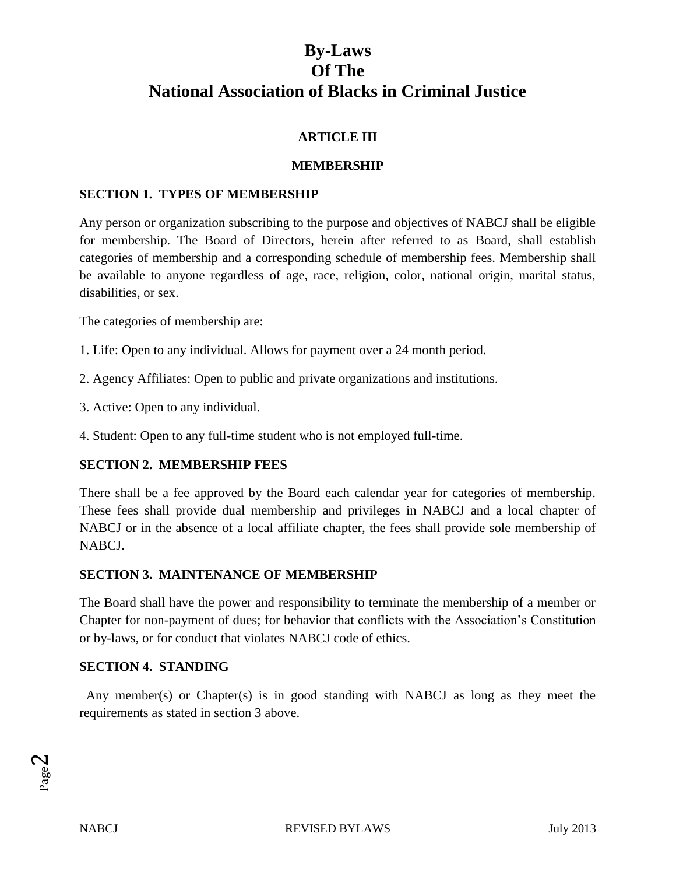# **ARTICLE III**

## **MEMBERSHIP**

## **SECTION 1. TYPES OF MEMBERSHIP**

Any person or organization subscribing to the purpose and objectives of NABCJ shall be eligible for membership. The Board of Directors, herein after referred to as Board, shall establish categories of membership and a corresponding schedule of membership fees. Membership shall be available to anyone regardless of age, race, religion, color, national origin, marital status, disabilities, or sex.

The categories of membership are:

- 1. Life: Open to any individual. Allows for payment over a 24 month period.
- 2. Agency Affiliates: Open to public and private organizations and institutions.
- 3. Active: Open to any individual.
- 4. Student: Open to any full-time student who is not employed full-time.

# **SECTION 2. MEMBERSHIP FEES**

There shall be a fee approved by the Board each calendar year for categories of membership. These fees shall provide dual membership and privileges in NABCJ and a local chapter of NABCJ or in the absence of a local affiliate chapter, the fees shall provide sole membership of NABCJ.

## **SECTION 3. MAINTENANCE OF MEMBERSHIP**

The Board shall have the power and responsibility to terminate the membership of a member or Chapter for non-payment of dues; for behavior that conflicts with the Association's Constitution or by-laws, or for conduct that violates NABCJ code of ethics.

### **SECTION 4. STANDING**

Any member(s) or Chapter(s) is in good standing with NABCJ as long as they meet the requirements as stated in section 3 above.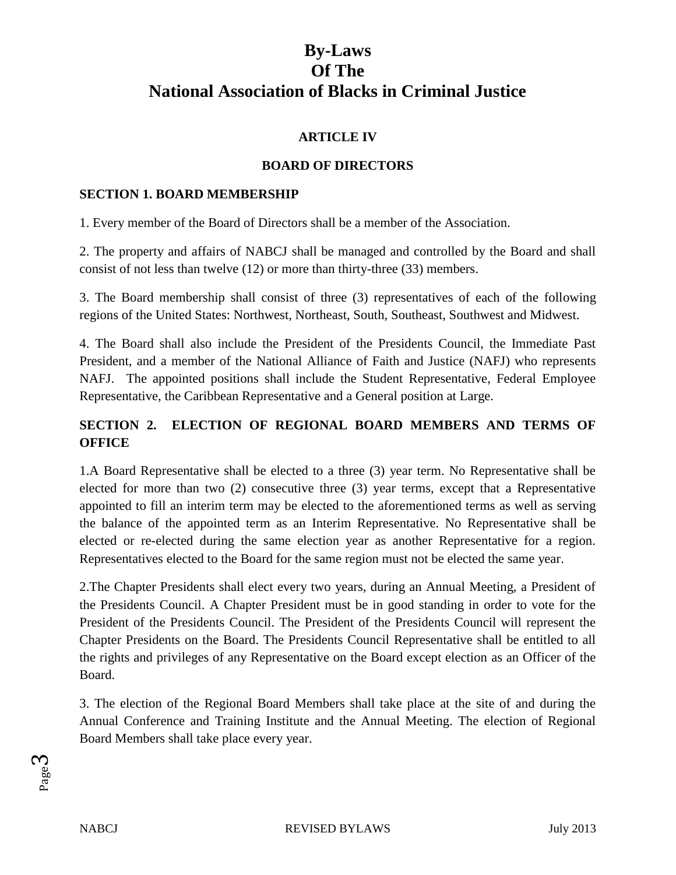# **ARTICLE IV**

# **BOARD OF DIRECTORS**

## **SECTION 1. BOARD MEMBERSHIP**

1. Every member of the Board of Directors shall be a member of the Association.

2. The property and affairs of NABCJ shall be managed and controlled by the Board and shall consist of not less than twelve (12) or more than thirty-three (33) members.

3. The Board membership shall consist of three (3) representatives of each of the following regions of the United States: Northwest, Northeast, South, Southeast, Southwest and Midwest.

4. The Board shall also include the President of the Presidents Council, the Immediate Past President, and a member of the National Alliance of Faith and Justice (NAFJ) who represents NAFJ. The appointed positions shall include the Student Representative, Federal Employee Representative, the Caribbean Representative and a General position at Large.

# **SECTION 2. ELECTION OF REGIONAL BOARD MEMBERS AND TERMS OF OFFICE**

1.A Board Representative shall be elected to a three (3) year term. No Representative shall be elected for more than two (2) consecutive three (3) year terms, except that a Representative appointed to fill an interim term may be elected to the aforementioned terms as well as serving the balance of the appointed term as an Interim Representative. No Representative shall be elected or re-elected during the same election year as another Representative for a region. Representatives elected to the Board for the same region must not be elected the same year.

2.The Chapter Presidents shall elect every two years, during an Annual Meeting, a President of the Presidents Council. A Chapter President must be in good standing in order to vote for the President of the Presidents Council. The President of the Presidents Council will represent the Chapter Presidents on the Board. The Presidents Council Representative shall be entitled to all the rights and privileges of any Representative on the Board except election as an Officer of the Board.

3. The election of the Regional Board Members shall take place at the site of and during the Annual Conference and Training Institute and the Annual Meeting. The election of Regional Board Members shall take place every year.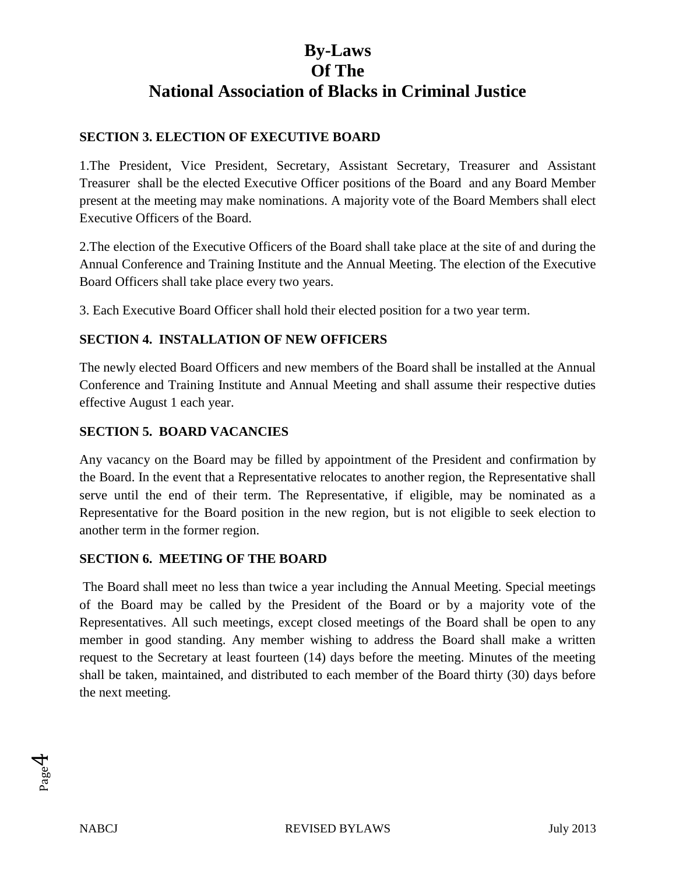## **SECTION 3. ELECTION OF EXECUTIVE BOARD**

1.The President, Vice President, Secretary, Assistant Secretary, Treasurer and Assistant Treasurer shall be the elected Executive Officer positions of the Board and any Board Member present at the meeting may make nominations. A majority vote of the Board Members shall elect Executive Officers of the Board.

2.The election of the Executive Officers of the Board shall take place at the site of and during the Annual Conference and Training Institute and the Annual Meeting. The election of the Executive Board Officers shall take place every two years.

3. Each Executive Board Officer shall hold their elected position for a two year term.

## **SECTION 4. INSTALLATION OF NEW OFFICERS**

The newly elected Board Officers and new members of the Board shall be installed at the Annual Conference and Training Institute and Annual Meeting and shall assume their respective duties effective August 1 each year.

## **SECTION 5. BOARD VACANCIES**

Any vacancy on the Board may be filled by appointment of the President and confirmation by the Board. In the event that a Representative relocates to another region, the Representative shall serve until the end of their term. The Representative, if eligible, may be nominated as a Representative for the Board position in the new region, but is not eligible to seek election to another term in the former region.

### **SECTION 6. MEETING OF THE BOARD**

The Board shall meet no less than twice a year including the Annual Meeting. Special meetings of the Board may be called by the President of the Board or by a majority vote of the Representatives. All such meetings, except closed meetings of the Board shall be open to any member in good standing. Any member wishing to address the Board shall make a written request to the Secretary at least fourteen (14) days before the meeting. Minutes of the meeting shall be taken, maintained, and distributed to each member of the Board thirty (30) days before the next meeting.

Page  $\overline{\mathcal{A}}$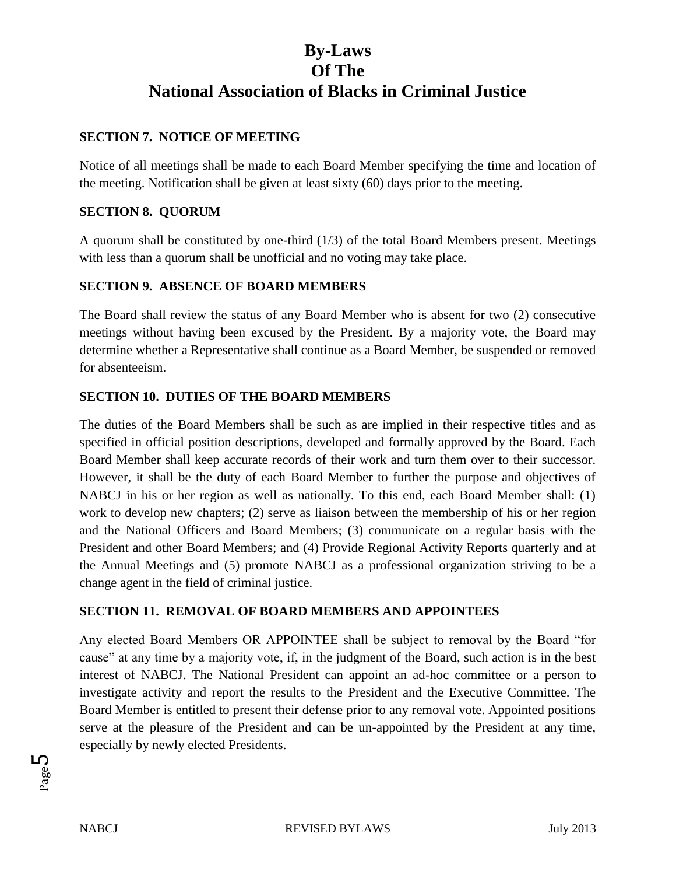# **SECTION 7. NOTICE OF MEETING**

Notice of all meetings shall be made to each Board Member specifying the time and location of the meeting. Notification shall be given at least sixty (60) days prior to the meeting.

# **SECTION 8. QUORUM**

A quorum shall be constituted by one-third (1/3) of the total Board Members present. Meetings with less than a quorum shall be unofficial and no voting may take place.

## **SECTION 9. ABSENCE OF BOARD MEMBERS**

The Board shall review the status of any Board Member who is absent for two (2) consecutive meetings without having been excused by the President. By a majority vote, the Board may determine whether a Representative shall continue as a Board Member, be suspended or removed for absenteeism.

## **SECTION 10. DUTIES OF THE BOARD MEMBERS**

The duties of the Board Members shall be such as are implied in their respective titles and as specified in official position descriptions, developed and formally approved by the Board. Each Board Member shall keep accurate records of their work and turn them over to their successor. However, it shall be the duty of each Board Member to further the purpose and objectives of NABCJ in his or her region as well as nationally. To this end, each Board Member shall: (1) work to develop new chapters; (2) serve as liaison between the membership of his or her region and the National Officers and Board Members; (3) communicate on a regular basis with the President and other Board Members; and (4) Provide Regional Activity Reports quarterly and at the Annual Meetings and (5) promote NABCJ as a professional organization striving to be a change agent in the field of criminal justice.

# **SECTION 11. REMOVAL OF BOARD MEMBERS AND APPOINTEES**

Any elected Board Members OR APPOINTEE shall be subject to removal by the Board "for cause" at any time by a majority vote, if, in the judgment of the Board, such action is in the best interest of NABCJ. The National President can appoint an ad-hoc committee or a person to investigate activity and report the results to the President and the Executive Committee. The Board Member is entitled to present their defense prior to any removal vote. Appointed positions serve at the pleasure of the President and can be un-appointed by the President at any time, especially by newly elected Presidents.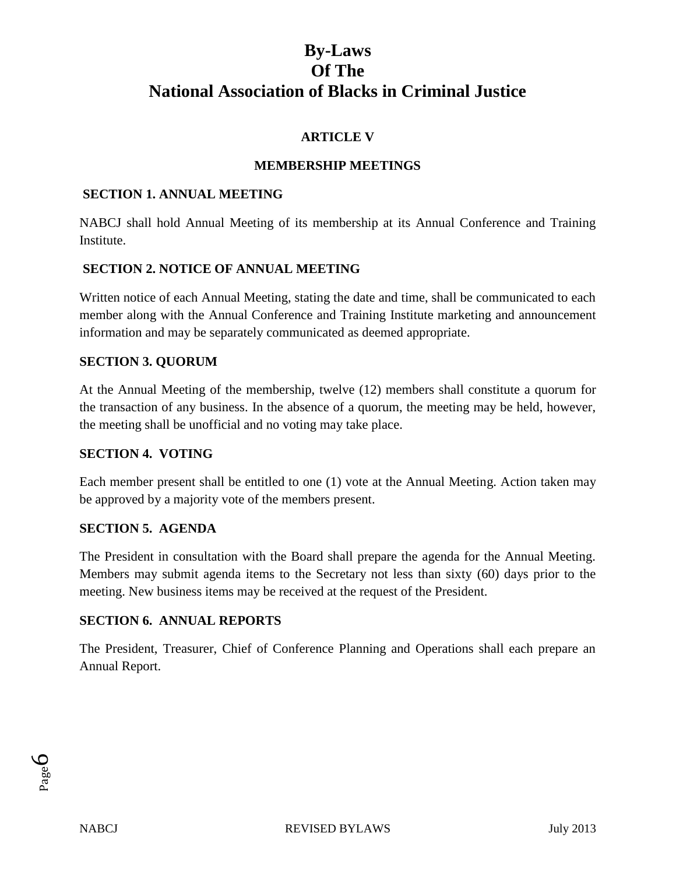# **ARTICLE V**

# **MEMBERSHIP MEETINGS**

### **SECTION 1. ANNUAL MEETING**

NABCJ shall hold Annual Meeting of its membership at its Annual Conference and Training **Institute** 

### **SECTION 2. NOTICE OF ANNUAL MEETING**

Written notice of each Annual Meeting, stating the date and time, shall be communicated to each member along with the Annual Conference and Training Institute marketing and announcement information and may be separately communicated as deemed appropriate.

### **SECTION 3. QUORUM**

At the Annual Meeting of the membership, twelve (12) members shall constitute a quorum for the transaction of any business. In the absence of a quorum, the meeting may be held, however, the meeting shall be unofficial and no voting may take place.

#### **SECTION 4. VOTING**

Each member present shall be entitled to one (1) vote at the Annual Meeting. Action taken may be approved by a majority vote of the members present.

### **SECTION 5. AGENDA**

The President in consultation with the Board shall prepare the agenda for the Annual Meeting. Members may submit agenda items to the Secretary not less than sixty (60) days prior to the meeting. New business items may be received at the request of the President.

### **SECTION 6. ANNUAL REPORTS**

The President, Treasurer, Chief of Conference Planning and Operations shall each prepare an Annual Report.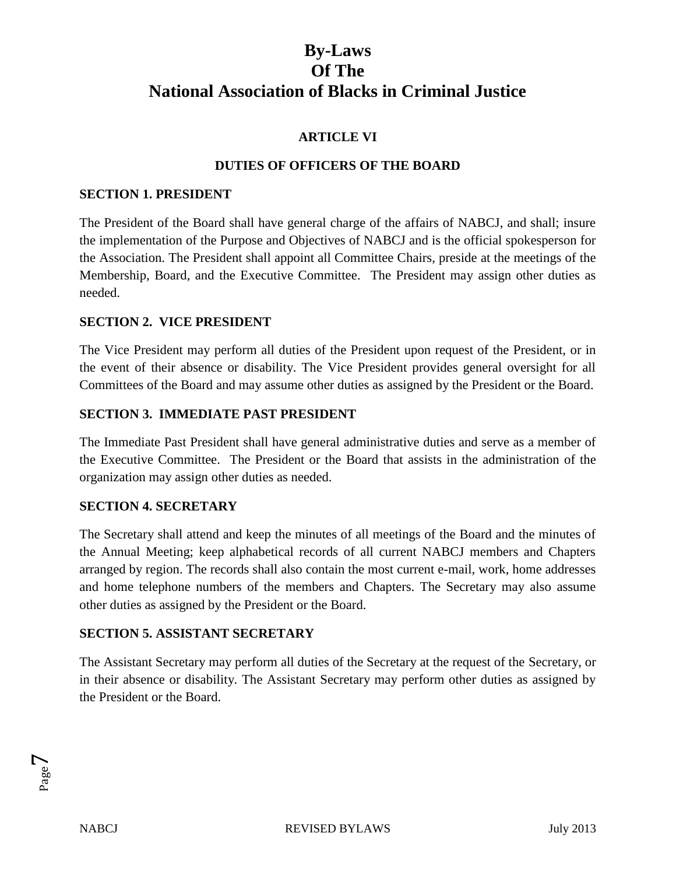# **ARTICLE VI**

## **DUTIES OF OFFICERS OF THE BOARD**

### **SECTION 1. PRESIDENT**

The President of the Board shall have general charge of the affairs of NABCJ, and shall; insure the implementation of the Purpose and Objectives of NABCJ and is the official spokesperson for the Association. The President shall appoint all Committee Chairs, preside at the meetings of the Membership, Board, and the Executive Committee. The President may assign other duties as needed.

## **SECTION 2. VICE PRESIDENT**

The Vice President may perform all duties of the President upon request of the President, or in the event of their absence or disability. The Vice President provides general oversight for all Committees of the Board and may assume other duties as assigned by the President or the Board.

## **SECTION 3. IMMEDIATE PAST PRESIDENT**

The Immediate Past President shall have general administrative duties and serve as a member of the Executive Committee. The President or the Board that assists in the administration of the organization may assign other duties as needed.

### **SECTION 4. SECRETARY**

The Secretary shall attend and keep the minutes of all meetings of the Board and the minutes of the Annual Meeting; keep alphabetical records of all current NABCJ members and Chapters arranged by region. The records shall also contain the most current e-mail, work, home addresses and home telephone numbers of the members and Chapters. The Secretary may also assume other duties as assigned by the President or the Board.

### **SECTION 5. ASSISTANT SECRETARY**

The Assistant Secretary may perform all duties of the Secretary at the request of the Secretary, or in their absence or disability. The Assistant Secretary may perform other duties as assigned by the President or the Board.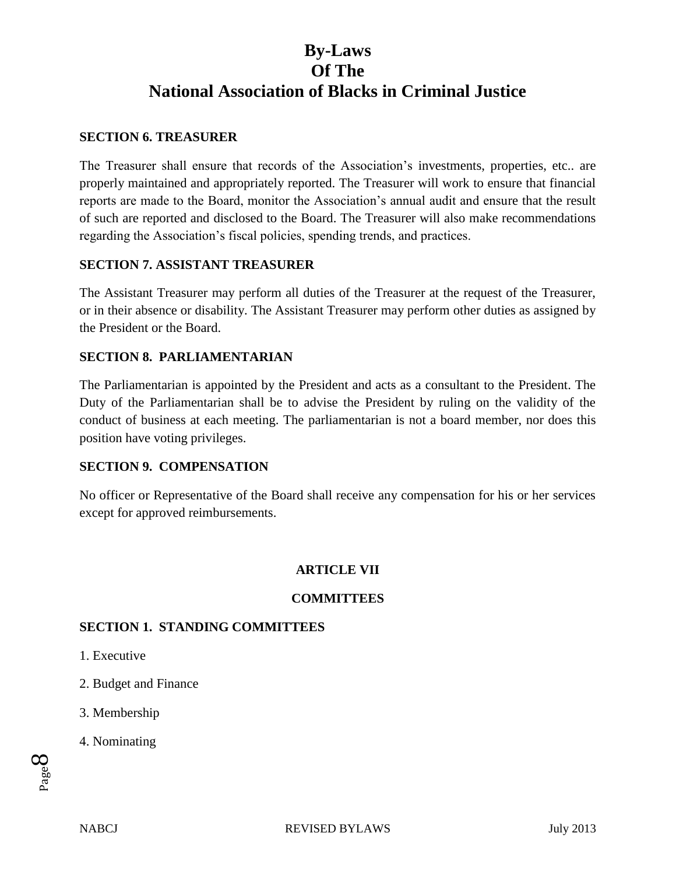### **SECTION 6. TREASURER**

The Treasurer shall ensure that records of the Association's investments, properties, etc.. are properly maintained and appropriately reported. The Treasurer will work to ensure that financial reports are made to the Board, monitor the Association's annual audit and ensure that the result of such are reported and disclosed to the Board. The Treasurer will also make recommendations regarding the Association's fiscal policies, spending trends, and practices.

### **SECTION 7. ASSISTANT TREASURER**

The Assistant Treasurer may perform all duties of the Treasurer at the request of the Treasurer, or in their absence or disability. The Assistant Treasurer may perform other duties as assigned by the President or the Board.

## **SECTION 8. PARLIAMENTARIAN**

The Parliamentarian is appointed by the President and acts as a consultant to the President. The Duty of the Parliamentarian shall be to advise the President by ruling on the validity of the conduct of business at each meeting. The parliamentarian is not a board member, nor does this position have voting privileges.

### **SECTION 9. COMPENSATION**

No officer or Representative of the Board shall receive any compensation for his or her services except for approved reimbursements.

# **ARTICLE VII**

### **COMMITTEES**

### **SECTION 1. STANDING COMMITTEES**

- 1. Executive
- 2. Budget and Finance
- 3. Membership
- 4. Nominating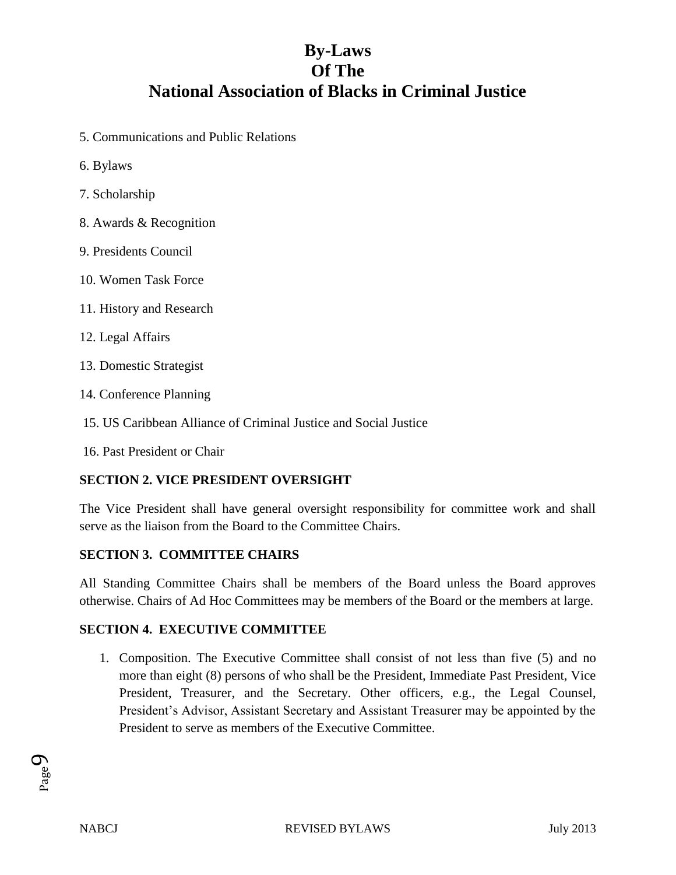- 5. Communications and Public Relations
- 6. Bylaws
- 7. Scholarship
- 8. Awards & Recognition
- 9. Presidents Council
- 10. Women Task Force
- 11. History and Research
- 12. Legal Affairs
- 13. Domestic Strategist
- 14. Conference Planning
- 15. US Caribbean Alliance of Criminal Justice and Social Justice
- 16. Past President or Chair

### **SECTION 2. VICE PRESIDENT OVERSIGHT**

The Vice President shall have general oversight responsibility for committee work and shall serve as the liaison from the Board to the Committee Chairs.

### **SECTION 3. COMMITTEE CHAIRS**

All Standing Committee Chairs shall be members of the Board unless the Board approves otherwise. Chairs of Ad Hoc Committees may be members of the Board or the members at large.

### **SECTION 4. EXECUTIVE COMMITTEE**

1. Composition. The Executive Committee shall consist of not less than five (5) and no more than eight (8) persons of who shall be the President, Immediate Past President, Vice President, Treasurer, and the Secretary. Other officers, e.g., the Legal Counsel, President's Advisor, Assistant Secretary and Assistant Treasurer may be appointed by the President to serve as members of the Executive Committee.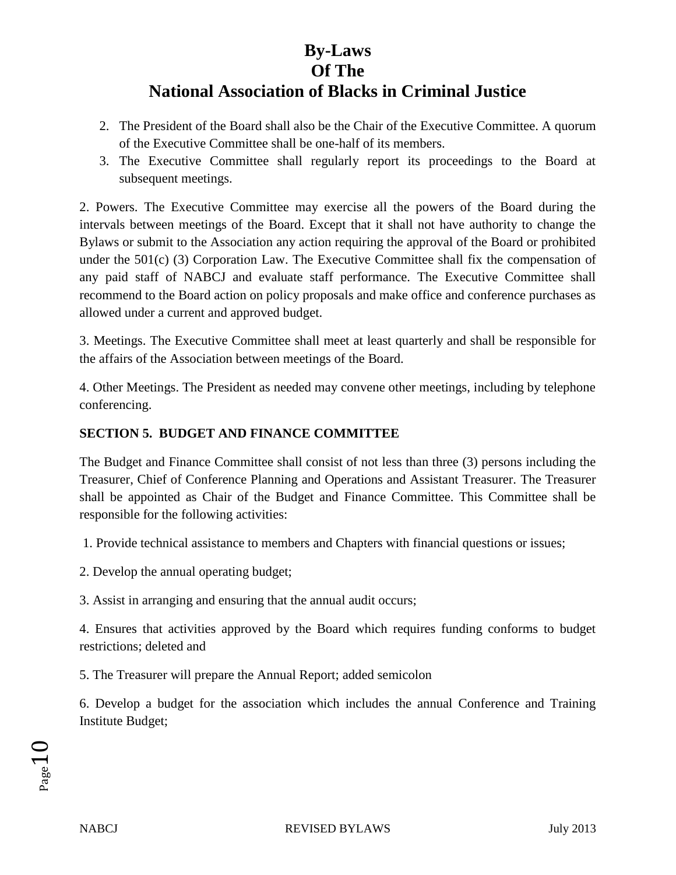# **By-Laws**

# **Of The**

# **National Association of Blacks in Criminal Justice**

- 2. The President of the Board shall also be the Chair of the Executive Committee. A quorum of the Executive Committee shall be one-half of its members.
- 3. The Executive Committee shall regularly report its proceedings to the Board at subsequent meetings.

2. Powers. The Executive Committee may exercise all the powers of the Board during the intervals between meetings of the Board. Except that it shall not have authority to change the Bylaws or submit to the Association any action requiring the approval of the Board or prohibited under the 501(c) (3) Corporation Law. The Executive Committee shall fix the compensation of any paid staff of NABCJ and evaluate staff performance. The Executive Committee shall recommend to the Board action on policy proposals and make office and conference purchases as allowed under a current and approved budget.

3. Meetings. The Executive Committee shall meet at least quarterly and shall be responsible for the affairs of the Association between meetings of the Board.

4. Other Meetings. The President as needed may convene other meetings, including by telephone conferencing.

# **SECTION 5. BUDGET AND FINANCE COMMITTEE**

The Budget and Finance Committee shall consist of not less than three (3) persons including the Treasurer, Chief of Conference Planning and Operations and Assistant Treasurer. The Treasurer shall be appointed as Chair of the Budget and Finance Committee. This Committee shall be responsible for the following activities:

1. Provide technical assistance to members and Chapters with financial questions or issues;

2. Develop the annual operating budget;

3. Assist in arranging and ensuring that the annual audit occurs;

4. Ensures that activities approved by the Board which requires funding conforms to budget restrictions; deleted and

5. The Treasurer will prepare the Annual Report; added semicolon

6. Develop a budget for the association which includes the annual Conference and Training Institute Budget;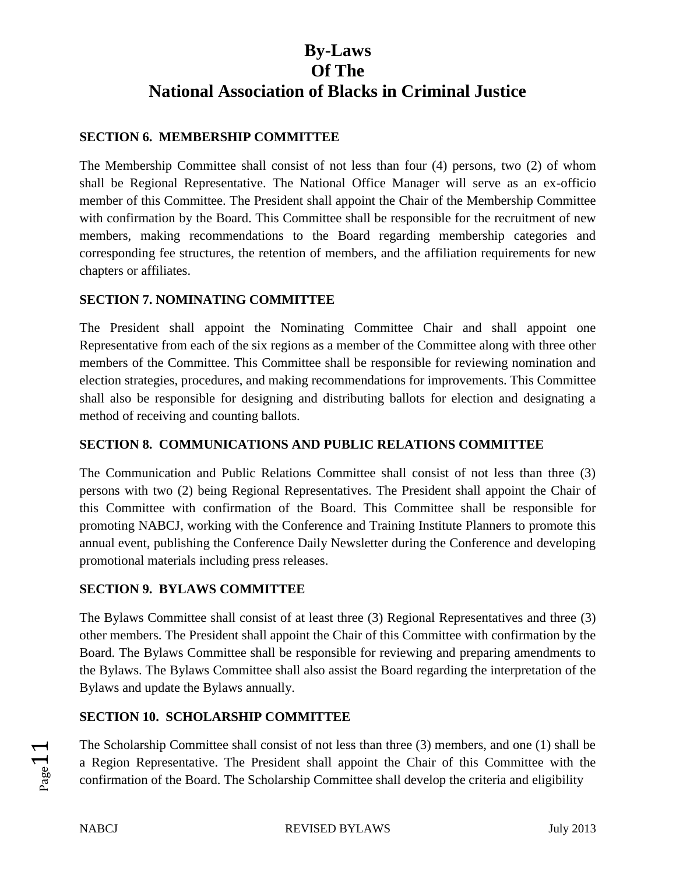# **SECTION 6. MEMBERSHIP COMMITTEE**

The Membership Committee shall consist of not less than four (4) persons, two (2) of whom shall be Regional Representative. The National Office Manager will serve as an ex-officio member of this Committee. The President shall appoint the Chair of the Membership Committee with confirmation by the Board. This Committee shall be responsible for the recruitment of new members, making recommendations to the Board regarding membership categories and corresponding fee structures, the retention of members, and the affiliation requirements for new chapters or affiliates.

## **SECTION 7. NOMINATING COMMITTEE**

The President shall appoint the Nominating Committee Chair and shall appoint one Representative from each of the six regions as a member of the Committee along with three other members of the Committee. This Committee shall be responsible for reviewing nomination and election strategies, procedures, and making recommendations for improvements. This Committee shall also be responsible for designing and distributing ballots for election and designating a method of receiving and counting ballots.

## **SECTION 8. COMMUNICATIONS AND PUBLIC RELATIONS COMMITTEE**

The Communication and Public Relations Committee shall consist of not less than three (3) persons with two (2) being Regional Representatives. The President shall appoint the Chair of this Committee with confirmation of the Board. This Committee shall be responsible for promoting NABCJ, working with the Conference and Training Institute Planners to promote this annual event, publishing the Conference Daily Newsletter during the Conference and developing promotional materials including press releases.

# **SECTION 9. BYLAWS COMMITTEE**

The Bylaws Committee shall consist of at least three (3) Regional Representatives and three (3) other members. The President shall appoint the Chair of this Committee with confirmation by the Board. The Bylaws Committee shall be responsible for reviewing and preparing amendments to the Bylaws. The Bylaws Committee shall also assist the Board regarding the interpretation of the Bylaws and update the Bylaws annually.

# **SECTION 10. SCHOLARSHIP COMMITTEE**

The Scholarship Committee shall consist of not less than three (3) members, and one (1) shall be a Region Representative. The President shall appoint the Chair of this Committee with the confirmation of the Board. The Scholarship Committee shall develop the criteria and eligibility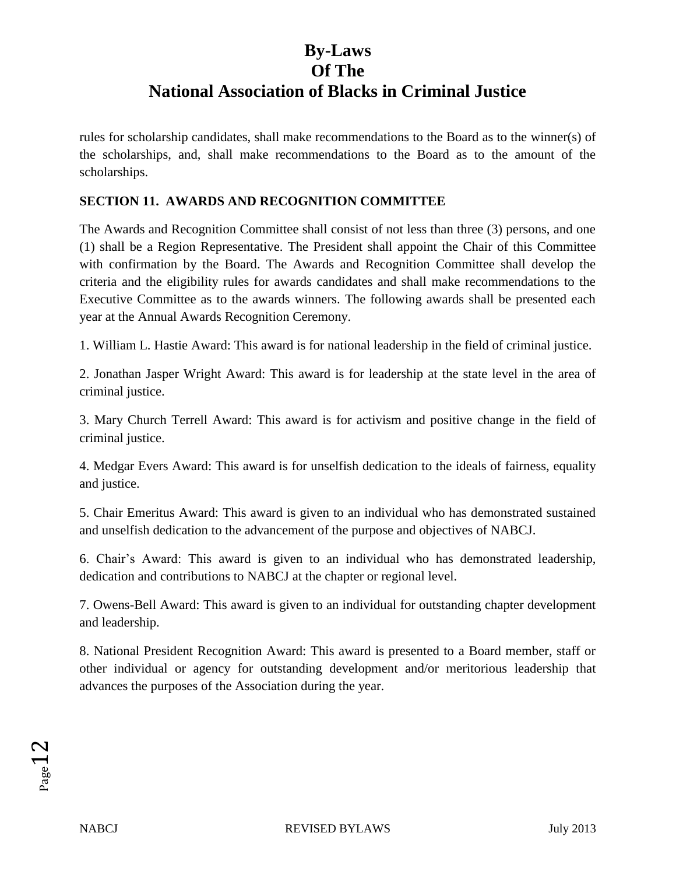rules for scholarship candidates, shall make recommendations to the Board as to the winner(s) of the scholarships, and, shall make recommendations to the Board as to the amount of the scholarships.

## **SECTION 11. AWARDS AND RECOGNITION COMMITTEE**

The Awards and Recognition Committee shall consist of not less than three (3) persons, and one (1) shall be a Region Representative. The President shall appoint the Chair of this Committee with confirmation by the Board. The Awards and Recognition Committee shall develop the criteria and the eligibility rules for awards candidates and shall make recommendations to the Executive Committee as to the awards winners. The following awards shall be presented each year at the Annual Awards Recognition Ceremony.

1. William L. Hastie Award: This award is for national leadership in the field of criminal justice.

2. Jonathan Jasper Wright Award: This award is for leadership at the state level in the area of criminal justice.

3. Mary Church Terrell Award: This award is for activism and positive change in the field of criminal justice.

4. Medgar Evers Award: This award is for unselfish dedication to the ideals of fairness, equality and justice.

5. Chair Emeritus Award: This award is given to an individual who has demonstrated sustained and unselfish dedication to the advancement of the purpose and objectives of NABCJ.

6. Chair's Award: This award is given to an individual who has demonstrated leadership, dedication and contributions to NABCJ at the chapter or regional level.

7. Owens-Bell Award: This award is given to an individual for outstanding chapter development and leadership.

8. National President Recognition Award: This award is presented to a Board member, staff or other individual or agency for outstanding development and/or meritorious leadership that advances the purposes of the Association during the year.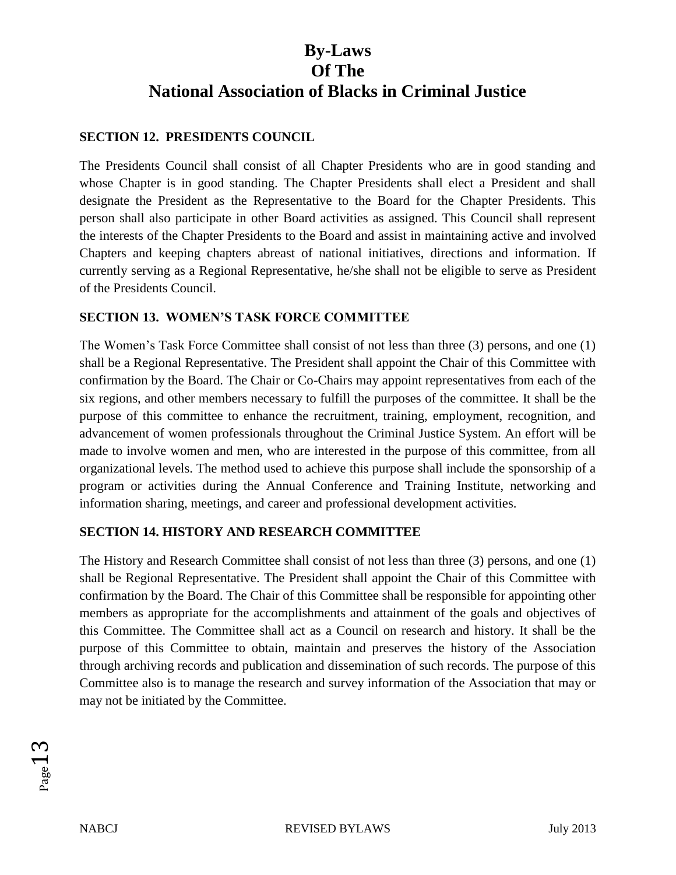# **SECTION 12. PRESIDENTS COUNCIL**

The Presidents Council shall consist of all Chapter Presidents who are in good standing and whose Chapter is in good standing. The Chapter Presidents shall elect a President and shall designate the President as the Representative to the Board for the Chapter Presidents. This person shall also participate in other Board activities as assigned. This Council shall represent the interests of the Chapter Presidents to the Board and assist in maintaining active and involved Chapters and keeping chapters abreast of national initiatives, directions and information. If currently serving as a Regional Representative, he/she shall not be eligible to serve as President of the Presidents Council.

## **SECTION 13. WOMEN'S TASK FORCE COMMITTEE**

The Women's Task Force Committee shall consist of not less than three (3) persons, and one (1) shall be a Regional Representative. The President shall appoint the Chair of this Committee with confirmation by the Board. The Chair or Co-Chairs may appoint representatives from each of the six regions, and other members necessary to fulfill the purposes of the committee. It shall be the purpose of this committee to enhance the recruitment, training, employment, recognition, and advancement of women professionals throughout the Criminal Justice System. An effort will be made to involve women and men, who are interested in the purpose of this committee, from all organizational levels. The method used to achieve this purpose shall include the sponsorship of a program or activities during the Annual Conference and Training Institute, networking and information sharing, meetings, and career and professional development activities.

# **SECTION 14. HISTORY AND RESEARCH COMMITTEE**

The History and Research Committee shall consist of not less than three (3) persons, and one (1) shall be Regional Representative. The President shall appoint the Chair of this Committee with confirmation by the Board. The Chair of this Committee shall be responsible for appointing other members as appropriate for the accomplishments and attainment of the goals and objectives of this Committee. The Committee shall act as a Council on research and history. It shall be the purpose of this Committee to obtain, maintain and preserves the history of the Association through archiving records and publication and dissemination of such records. The purpose of this Committee also is to manage the research and survey information of the Association that may or may not be initiated by the Committee.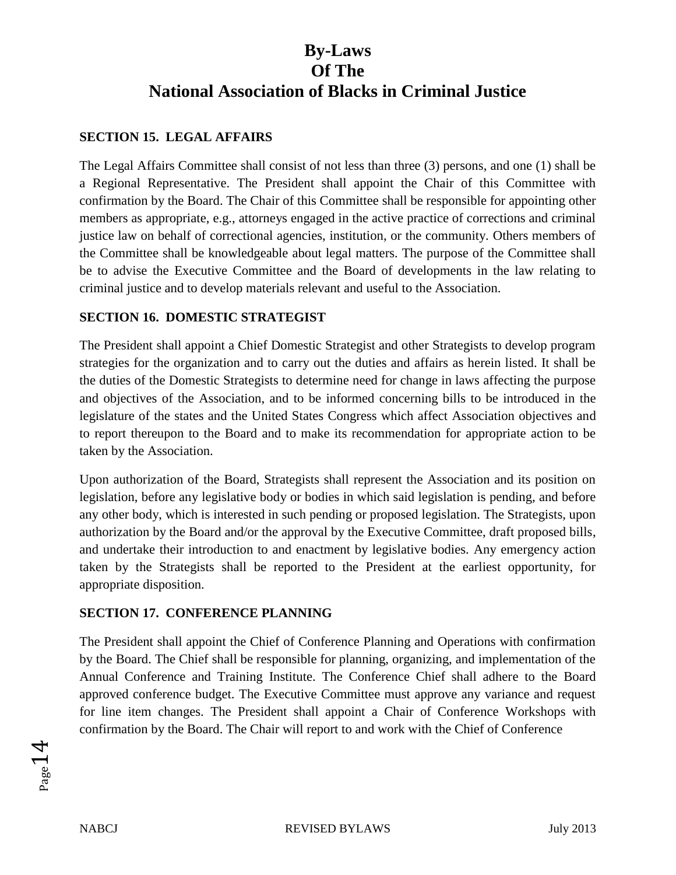## **SECTION 15. LEGAL AFFAIRS**

The Legal Affairs Committee shall consist of not less than three (3) persons, and one (1) shall be a Regional Representative. The President shall appoint the Chair of this Committee with confirmation by the Board. The Chair of this Committee shall be responsible for appointing other members as appropriate, e.g., attorneys engaged in the active practice of corrections and criminal justice law on behalf of correctional agencies, institution, or the community. Others members of the Committee shall be knowledgeable about legal matters. The purpose of the Committee shall be to advise the Executive Committee and the Board of developments in the law relating to criminal justice and to develop materials relevant and useful to the Association.

### **SECTION 16. DOMESTIC STRATEGIST**

The President shall appoint a Chief Domestic Strategist and other Strategists to develop program strategies for the organization and to carry out the duties and affairs as herein listed. It shall be the duties of the Domestic Strategists to determine need for change in laws affecting the purpose and objectives of the Association, and to be informed concerning bills to be introduced in the legislature of the states and the United States Congress which affect Association objectives and to report thereupon to the Board and to make its recommendation for appropriate action to be taken by the Association.

Upon authorization of the Board, Strategists shall represent the Association and its position on legislation, before any legislative body or bodies in which said legislation is pending, and before any other body, which is interested in such pending or proposed legislation. The Strategists, upon authorization by the Board and/or the approval by the Executive Committee, draft proposed bills, and undertake their introduction to and enactment by legislative bodies. Any emergency action taken by the Strategists shall be reported to the President at the earliest opportunity, for appropriate disposition.

### **SECTION 17. CONFERENCE PLANNING**

The President shall appoint the Chief of Conference Planning and Operations with confirmation by the Board. The Chief shall be responsible for planning, organizing, and implementation of the Annual Conference and Training Institute. The Conference Chief shall adhere to the Board approved conference budget. The Executive Committee must approve any variance and request for line item changes. The President shall appoint a Chair of Conference Workshops with confirmation by the Board. The Chair will report to and work with the Chief of Conference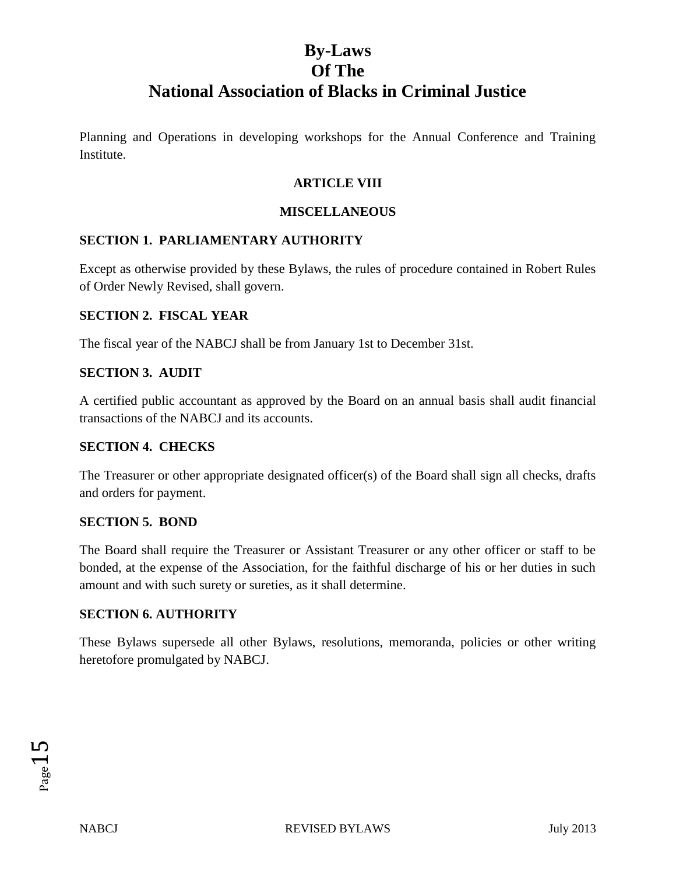Planning and Operations in developing workshops for the Annual Conference and Training Institute.

## **ARTICLE VIII**

### **MISCELLANEOUS**

## **SECTION 1. PARLIAMENTARY AUTHORITY**

Except as otherwise provided by these Bylaws, the rules of procedure contained in Robert Rules of Order Newly Revised, shall govern.

## **SECTION 2. FISCAL YEAR**

The fiscal year of the NABCJ shall be from January 1st to December 31st.

### **SECTION 3. AUDIT**

A certified public accountant as approved by the Board on an annual basis shall audit financial transactions of the NABCJ and its accounts.

### **SECTION 4. CHECKS**

The Treasurer or other appropriate designated officer(s) of the Board shall sign all checks, drafts and orders for payment.

### **SECTION 5. BOND**

The Board shall require the Treasurer or Assistant Treasurer or any other officer or staff to be bonded, at the expense of the Association, for the faithful discharge of his or her duties in such amount and with such surety or sureties, as it shall determine.

### **SECTION 6. AUTHORITY**

These Bylaws supersede all other Bylaws, resolutions, memoranda, policies or other writing heretofore promulgated by NABCJ.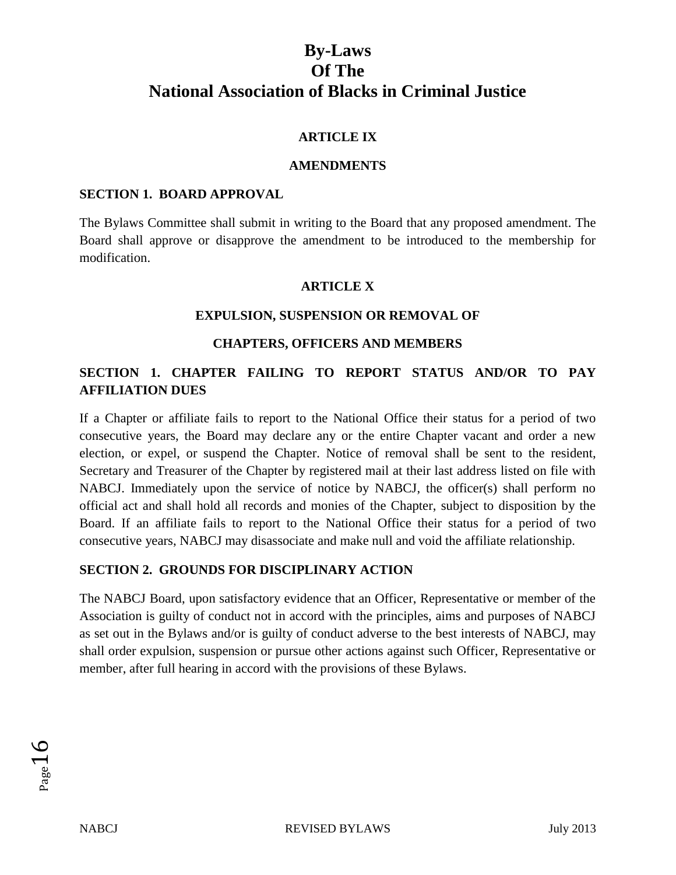## **ARTICLE IX**

### **AMENDMENTS**

### **SECTION 1. BOARD APPROVAL**

The Bylaws Committee shall submit in writing to the Board that any proposed amendment. The Board shall approve or disapprove the amendment to be introduced to the membership for modification.

### **ARTICLE X**

### **EXPULSION, SUSPENSION OR REMOVAL OF**

### **CHAPTERS, OFFICERS AND MEMBERS**

# **SECTION 1. CHAPTER FAILING TO REPORT STATUS AND/OR TO PAY AFFILIATION DUES**

If a Chapter or affiliate fails to report to the National Office their status for a period of two consecutive years, the Board may declare any or the entire Chapter vacant and order a new election, or expel, or suspend the Chapter. Notice of removal shall be sent to the resident, Secretary and Treasurer of the Chapter by registered mail at their last address listed on file with NABCJ. Immediately upon the service of notice by NABCJ, the officer(s) shall perform no official act and shall hold all records and monies of the Chapter, subject to disposition by the Board. If an affiliate fails to report to the National Office their status for a period of two consecutive years, NABCJ may disassociate and make null and void the affiliate relationship.

### **SECTION 2. GROUNDS FOR DISCIPLINARY ACTION**

The NABCJ Board, upon satisfactory evidence that an Officer, Representative or member of the Association is guilty of conduct not in accord with the principles, aims and purposes of NABCJ as set out in the Bylaws and/or is guilty of conduct adverse to the best interests of NABCJ, may shall order expulsion, suspension or pursue other actions against such Officer, Representative or member, after full hearing in accord with the provisions of these Bylaws.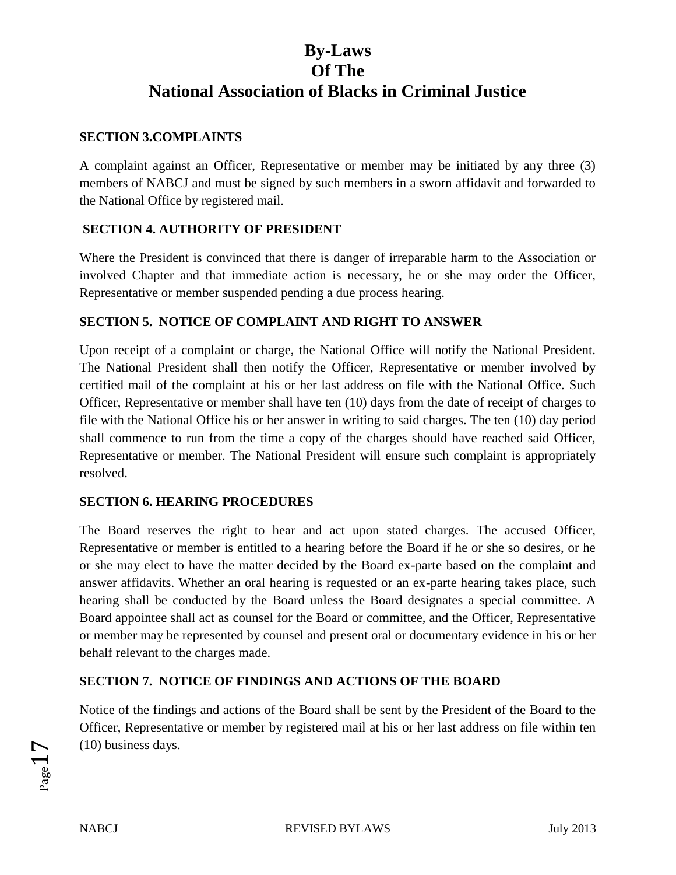## **SECTION 3.COMPLAINTS**

A complaint against an Officer, Representative or member may be initiated by any three (3) members of NABCJ and must be signed by such members in a sworn affidavit and forwarded to the National Office by registered mail.

# **SECTION 4. AUTHORITY OF PRESIDENT**

Where the President is convinced that there is danger of irreparable harm to the Association or involved Chapter and that immediate action is necessary, he or she may order the Officer, Representative or member suspended pending a due process hearing.

# **SECTION 5. NOTICE OF COMPLAINT AND RIGHT TO ANSWER**

Upon receipt of a complaint or charge, the National Office will notify the National President. The National President shall then notify the Officer, Representative or member involved by certified mail of the complaint at his or her last address on file with the National Office. Such Officer, Representative or member shall have ten (10) days from the date of receipt of charges to file with the National Office his or her answer in writing to said charges. The ten (10) day period shall commence to run from the time a copy of the charges should have reached said Officer, Representative or member. The National President will ensure such complaint is appropriately resolved.

### **SECTION 6. HEARING PROCEDURES**

The Board reserves the right to hear and act upon stated charges. The accused Officer, Representative or member is entitled to a hearing before the Board if he or she so desires, or he or she may elect to have the matter decided by the Board ex-parte based on the complaint and answer affidavits. Whether an oral hearing is requested or an ex-parte hearing takes place, such hearing shall be conducted by the Board unless the Board designates a special committee. A Board appointee shall act as counsel for the Board or committee, and the Officer, Representative or member may be represented by counsel and present oral or documentary evidence in his or her behalf relevant to the charges made.

### **SECTION 7. NOTICE OF FINDINGS AND ACTIONS OF THE BOARD**

Notice of the findings and actions of the Board shall be sent by the President of the Board to the Officer, Representative or member by registered mail at his or her last address on file within ten (10) business days.